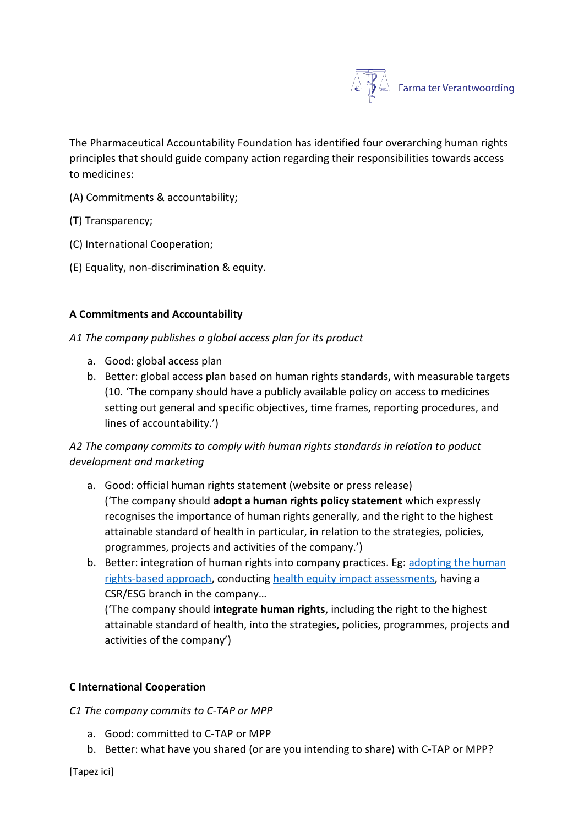

The Pharmaceutical Accountability Foundation has identified four overarching human rights principles that should guide company action regarding their responsibilities towards access to medicines:

- (A) Commitments & accountability;
- (T) Transparency;
- (C) International Cooperation;
- (E) Equality, non-discrimination & equity.

## **A Commitments and Accountability**

*A1 The company publishes a global access plan for its product* 

- a. Good: global access plan
- b. Better: global access plan based on human rights standards, with measurable targets (10. 'The company should have a publicly available policy on access to medicines setting out general and specific objectives, time frames, reporting procedures, and lines of accountability.')

# *A2 The company commits to comply with human rights standards in relation to poduct development and marketing*

- a. Good: official human rights statement (website or press release) ('The company should **adopt a human rights policy statement** which expressly recognises the importance of human rights generally, and the right to the highest attainable standard of health in particular, in relation to the strategies, policies, programmes, projects and activities of the company.')
- b. Better: integration of human rights into company practices. Eg: [adopting the human](https://www.hhrjournal.org/2013/09/what-is-a-human-rights-based-approach-to-health-and-does-it-matter/#:~:text=Human%20rights%20approaches%20can%20include,of%20the%20right%20to%20health.)  [rights-based approach,](https://www.hhrjournal.org/2013/09/what-is-a-human-rights-based-approach-to-health-and-does-it-matter/#:~:text=Human%20rights%20approaches%20can%20include,of%20the%20right%20to%20health.) conducting [health equity impact assessments,](https://www.euro.who.int/en/health-topics/health-determinants/social-determinants/activities/putting-a-social-determinants-of-health-focus-into-public-health/health-equity-impact-assessment#:~:text=It%20is%20used%20to%20assess,%26%20Scott%2DSamuel%202001).) having a CSR/ESG branch in the company…

('The company should **integrate human rights**, including the right to the highest attainable standard of health, into the strategies, policies, programmes, projects and activities of the company')

## **C International Cooperation**

#### *C1 The company commits to C-TAP or MPP*

- a. Good: committed to C-TAP or MPP
- b. Better: what have you shared (or are you intending to share) with C-TAP or MPP?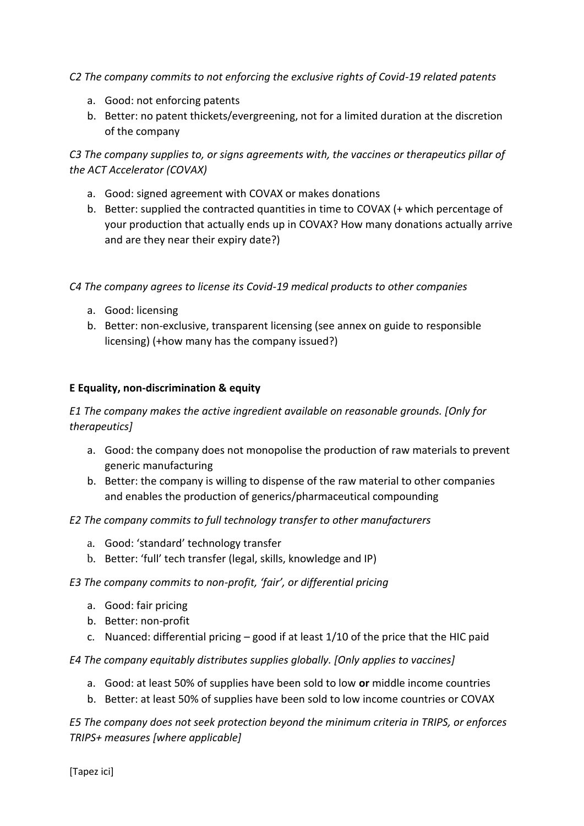*C2 The company commits to not enforcing the exclusive rights of Covid-19 related patents* 

- a. Good: not enforcing patents
- b. Better: no patent thickets/evergreening, not for a limited duration at the discretion of the company

*C3 The company supplies to, or signs agreements with, the vaccines or therapeutics pillar of the ACT Accelerator (COVAX)*

- a. Good: signed agreement with COVAX or makes donations
- b. Better: supplied the contracted quantities in time to COVAX (+ which percentage of your production that actually ends up in COVAX? How many donations actually arrive and are they near their expiry date?)

*C4 The company agrees to license its Covid-19 medical products to other companies* 

- a. Good: licensing
- b. Better: non-exclusive, transparent licensing (see annex on guide to responsible licensing) (+how many has the company issued?)

## **E Equality, non-discrimination & equity**

*E1 The company makes the active ingredient available on reasonable grounds. [Only for therapeutics]*

- a. Good: the company does not monopolise the production of raw materials to prevent generic manufacturing
- b. Better: the company is willing to dispense of the raw material to other companies and enables the production of generics/pharmaceutical compounding

# *E2 The company commits to full technology transfer to other manufacturers*

- a. Good: 'standard' technology transfer
- b. Better: 'full' tech transfer (legal, skills, knowledge and IP)

## *E3 The company commits to non-profit, 'fair', or differential pricing*

- a. Good: fair pricing
- b. Better: non-profit
- c. Nuanced: differential pricing good if at least 1/10 of the price that the HIC paid

*E4 The company equitably distributes supplies globally. [Only applies to vaccines]*

- a. Good: at least 50% of supplies have been sold to low **or** middle income countries
- b. Better: at least 50% of supplies have been sold to low income countries or COVAX

*E5 The company does not seek protection beyond the minimum criteria in TRIPS, or enforces TRIPS+ measures [where applicable]*

[Tapez ici]